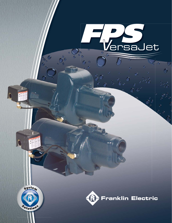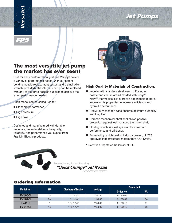# *Jet Pumps*



# **The most versatile jet pump the market has ever seen!**

Built for easy customization, just one Versajet covers a variety of performance needs. With our patent pending nozzle replacement system and a small Allen wrench (included), the internal nozzle can be replaced with any of the three nozzles supplied to achieve the exact performance needed.

Each model can be configured for:

- Standard performance
- High pressure
- $\blacksquare$  High flow

Designed and manufactured with durable materials, VersaJet delivers the quality, reliability, and performance you expect from Franklin Electric products.



#### **High Quality Materials of Construction:**

- Impeller with stainless steel insert, diffuser, jet nozzle and venturi are all molded with Noryl®\*. Noryl® thermoplastic is a proven dependable material known for its properties to increase efficiency and hydraulic peformance.
- Heavy-duty cast iron case ensures optimum durability and long life.
- Ceramic mechanical shaft seal allows positive protection against leaking along the motor shaft.
- Floating stainless steel eye seal for maximum performance and efficiency.
- Powered by a high quality, industry proven, UL778 approved indoor/outdoor motors from A.O. Smith.
- **\*** Noryl® is a Registered Trademark of G.E.

Revolutionary Patent Pending

 *"Quick Change" Jet Nozzle* 

Replacement System

## **Ordering Information**

| <b>Model No.</b> | <b>HP</b> | Discharge/Suction |                | <b>Pump Unit</b> |     |  |
|------------------|-----------|-------------------|----------------|------------------|-----|--|
|                  |           |                   | <b>Voltage</b> | Order No.        | Wt. |  |
| <b>FVJ05CI</b>   | 1/2       | $1''$ x 1-1/4"    | 115/230        | 91180005         | 31  |  |
| <b>FVJ07CI</b>   | 3/4       | $1''$ x 1-1/4"    | 115/230        | 91180007         | 34  |  |
| <b>FVJ1CI</b>    |           | $1''$ x 1-1/4"    | 115/230        | 91180010         | 51  |  |
| <b>FVJ15CI</b>   | 1.5       | $1''$ x 1-1/4"    | 115/230        | 91180015         | 56  |  |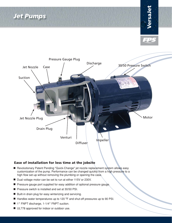*Jet Pumps*





#### **Ease of installation for less time at the jobsite**

- Revolutionary Patent Pending "Quick-Change" jet nozzle replacement system allows easy customization of the pump. Performance can be changed quickly from a high pressure to a high flow set-up without removing the plumbing or opening the case.
- Dual voltage motor can be set to run at either 115V or 230V.
- Pressure gauge port supplied for easy addition of optional pressure gauge.
- Pressure switch is installed and set at 30/50 PSI.
- Built-in drain plug for easy winterizing and servicing.
- Handles water temperatures up to 120 °F and shut-off pressures up to 90 PSI.
- 1″ FNPT discharge, 1-1/4″ FNPT suction.
- UL778 approved for indoor or outdoor use.